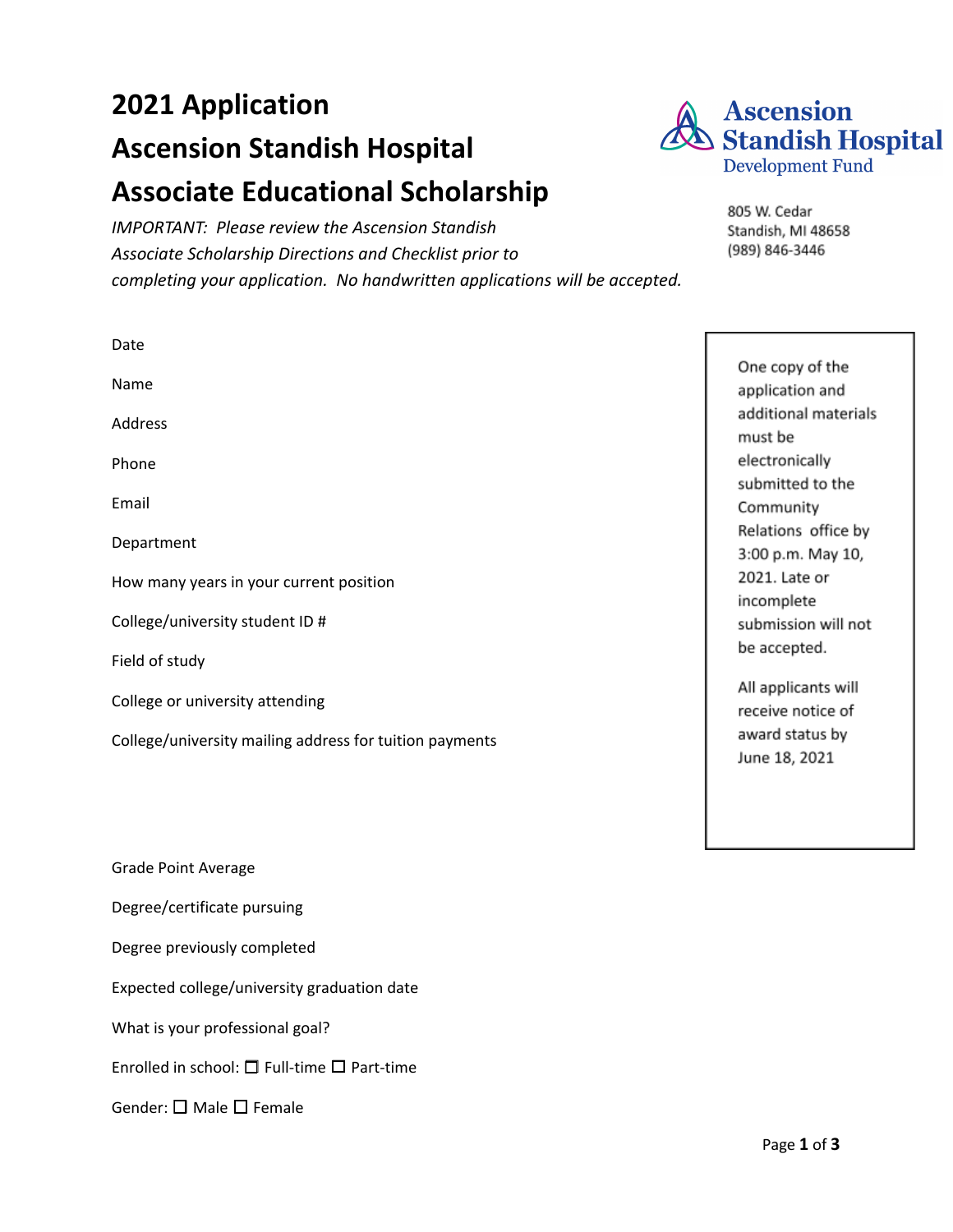# **2021 Application Ascension Standish Hospital Associate Educational Scholarship**

*IMPORTANT: Please review the Ascension Standish Associate Scholarship Directions and Checklist prior to completing your application. No handwritten applications will be accepted.*



805 W. Cedar Standish, MI 48658 (989) 846-3446

| Date                                                    |                                          |
|---------------------------------------------------------|------------------------------------------|
| Name                                                    | One copy of the<br>application and       |
| Address                                                 | additional materials<br>must be          |
| Phone                                                   | electronically                           |
| Email                                                   | submitted to the<br>Community            |
| Department                                              | Relations office by<br>3:00 p.m. May 10, |
| How many years in your current position                 | 2021. Late or<br>incomplete              |
| College/university student ID #                         | submission will not                      |
| Field of study                                          | be accepted.                             |
| College or university attending                         | All applicants will<br>receive notice of |
| College/university mailing address for tuition payments | award status by<br>June 18, 2021         |

Grade Point Average

Degree/certificate pursuing

Degree previously completed

Expected college/university graduation date

What is your professional goal?

Enrolled in school: ☐ Full-time ☐ Part-time

Gender: □ Male □ Female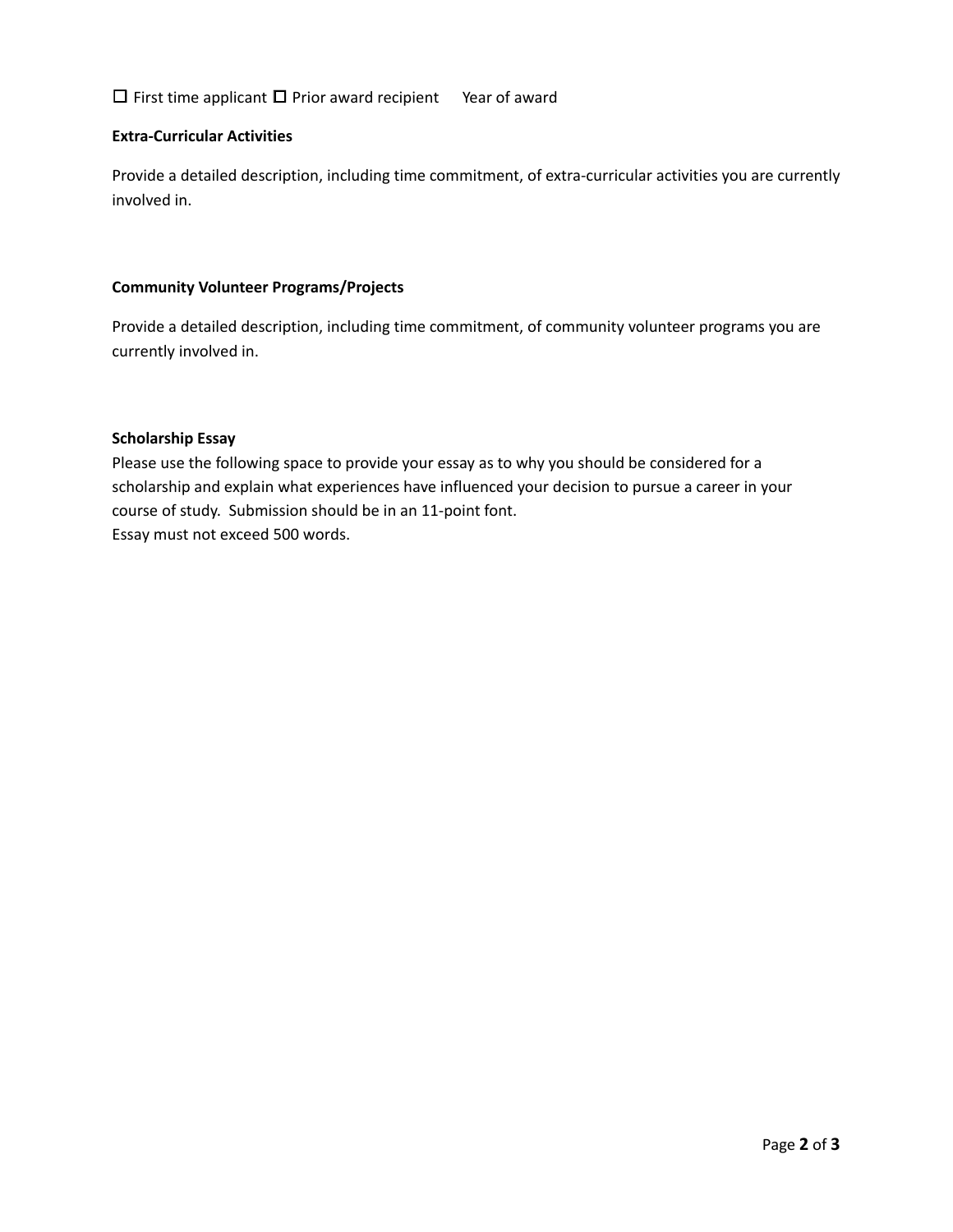## ☐ First time applicant ☐ Prior award recipient Year of award

### **Extra-Curricular Activities**

Provide a detailed description, including time commitment, of extra-curricular activities you are currently involved in.

### **Community Volunteer Programs/Projects**

Provide a detailed description, including time commitment, of community volunteer programs you are currently involved in.

## **Scholarship Essay**

Please use the following space to provide your essay as to why you should be considered for a scholarship and explain what experiences have influenced your decision to pursue a career in your course of study. Submission should be in an 11-point font. Essay must not exceed 500 words.